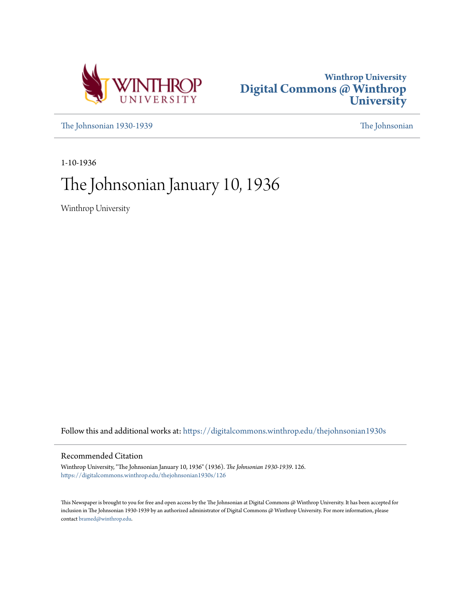



[The Johnsonian 1930-1939](https://digitalcommons.winthrop.edu/thejohnsonian1930s?utm_source=digitalcommons.winthrop.edu%2Fthejohnsonian1930s%2F126&utm_medium=PDF&utm_campaign=PDFCoverPages) [The Johnsonian](https://digitalcommons.winthrop.edu/thejohnsonian_newspaper?utm_source=digitalcommons.winthrop.edu%2Fthejohnsonian1930s%2F126&utm_medium=PDF&utm_campaign=PDFCoverPages)

1-10-1936

# The Johnsonian January 10, 1936

Winthrop University

Follow this and additional works at: [https://digitalcommons.winthrop.edu/thejohnsonian1930s](https://digitalcommons.winthrop.edu/thejohnsonian1930s?utm_source=digitalcommons.winthrop.edu%2Fthejohnsonian1930s%2F126&utm_medium=PDF&utm_campaign=PDFCoverPages)

# Recommended Citation

Winthrop University, "The Johnsonian January 10, 1936" (1936). *The Johnsonian 1930-1939*. 126. [https://digitalcommons.winthrop.edu/thejohnsonian1930s/126](https://digitalcommons.winthrop.edu/thejohnsonian1930s/126?utm_source=digitalcommons.winthrop.edu%2Fthejohnsonian1930s%2F126&utm_medium=PDF&utm_campaign=PDFCoverPages)

This Newspaper is brought to you for free and open access by the The Johnsonian at Digital Commons @ Winthrop University. It has been accepted for inclusion in The Johnsonian 1930-1939 by an authorized administrator of Digital Commons @ Winthrop University. For more information, please contact [bramed@winthrop.edu](mailto:bramed@winthrop.edu).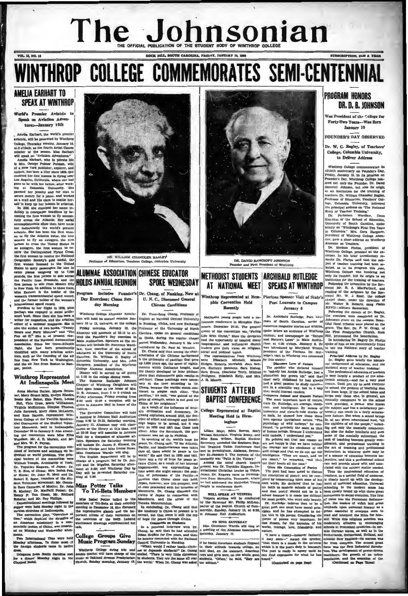# E OFFICIAL PUBLICATION OF THE STUDENT BODY OF WINTHROP COLLEGE **12 M** The Jol **BSCRIPTION, SLOP & TEAM**

**VOL. 12, NO. 13** 

# THROP COLLEGE COMMEMORATES SEMI-CENTENN

# **AMELIA EARHART TO SPEAX AT WINTHROP**

World's Premier Aviatrix to sk on Aviation Adventures-January 16th

Amelia Earhart, the world's premie

, Amelia Earland, the world's premier by the factor<br>at a premier by the premier of the premier of the fourth Artist Counter<br>of College, Thursday evening, January 16, as the fourth Artist Counter<br>and the model control of t

G a rew York punishes, expect, and the state of the state of the state of the state of the state of the state of the state of the state of the state of the state of the state of the state of the state of the state of the



DR WILLIAM CHANDLER BAGLEY ation, Teachers College, Columbia University

# ALUMNAE ASSOCIATION CHINESE EDUCATOR **SPOKE WEDNESDAY**

Dr. Yu

U. N. C., Discussed General

**Chinese Conditions** 

 $\overline{m}$  ch

Includes Founder's Dr. Char



DR. DAVID BANCROPT JOHNSON<br>Pounder and Pirst President of Winterop

- Pierinns Spensor Visit of State's

**Poet Laureate to Campus** 

January 6

Dr. Archibald Rutledge, Poet Lau

**METHODIST STUDENTS | ARCHIBALD RUTLEDGE** AT NATIONAL MEET SPEAKS AT WINTHROP g, of Nanking, New at

> phis Convention Held Recently

Meth and tallon ing people held a na

# **PROGRAM HONORS** DR. D. B. JOHNSON

Was President of the College for Forty-Two Years-Was Born **January 10** 

**FOUNDER'S DAY OBSERVED** 

Dr. W. C. Bagley, of Teachers' College, Columbia University, to Deliver Address

The measure of the measurement of the measurement of the stress of the stress parameters and properties of the stress parameters and properties of the stress in the stress in the stress of the stress in the stress of the s

Precident of Wattbroad Samuel and The Particular and Technical and Technical Allinnas are the Relice and Technical Samuel Control and Samuel Scheme and the extended of the state of the state of the state of the state of t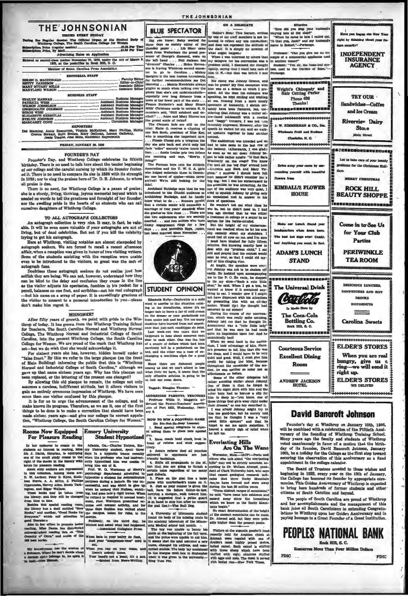# **THE JOHNSONIAN**

\$1.00 Per Year n Price

| Advertising Rates on Application                                                                                           |
|----------------------------------------------------------------------------------------------------------------------------|
| Entered as second-class matter November 21, 1923, under the Act of March 3,<br>1879, at the postoffice in Rock Hill, S. C. |
| Member of South Carolina Press Association                                                                                 |
| <b><i>EDITORIAL STAFF</i></b>                                                                                              |
| <b>BUSINESS STAFF</b>                                                                                                      |
|                                                                                                                            |
|                                                                                                                            |
|                                                                                                                            |
|                                                                                                                            |
|                                                                                                                            |
| ELIZABETH KERHULAS  Assistant Business Manager !                                                                           |
|                                                                                                                            |
|                                                                                                                            |
| <b>REPORTERS</b>                                                                                                           |
| Dot Manning, Annie Rosenblum, Virginia McKelthen, Mary Phillips, Hattie                                                    |

wart, Ruth Bethen, Mary Gallman, Lorena Onton Corena.

FUIDAY JANITARY 16, 1998

## FOUNDER'S DAY

Founder's Day, and Winthrop College o rates its fiftieth Funday. There is no need to talk here about the tender beginning<br>of our college and the careful nursing by which its founder foster-<br>ed it. There is no need to compare its size in 1886 with its strength in 1936; nor to sing the praises here of Dr. D. B. Johnson, to whom all projection due.

an prace is no need, for Winthrop College is a paean of praise;<br>she is a sturdy, living, thriving, joyous memorial beyond which is eded no words to tell the greatness and foresight of her founder, vorus to ten the greatness and foresignt of her founder,<br>elling pride in the hearts of us students who can call nor the sw ourselves daughters of Winthrop College.

## TO ALL AUTOGRAPA COLLECTORS

IV AREA AUXUMENTA UDLESTIUMS<br>An autograph collection is very rice. It may, in fact, be valuable. It will be even more valuable if your autographs are not of<br>living, but of dead celebrities. But not if you kill the celebrit trying to get his autograph.

Here at Winthrop, visiting notables are almost stampeded by<br>autograph seekers. We are forced to recall a recent afternoon subgraph seekers. we are uncertainty in the set of two visiting writers.<br>Some of the students assisting with the reception were unable<br>Some of the students assisting with the reception were unable<br>even to be introduced to graph fan

autograph rans.<br>Doubless these autograph seekers do not realize just how<br>selfish they are being. We can not, however, understand how they<br>can be blind to the delay and confusion they cause in the line as the visitor adjusts his spectacles, fumbles in his nocket for a ness on one foot, and scribbles-not his real cutograp D suicit, beautece on one accept of paper. It is exceedingly gracies<br>...but his name on a scrap of paper. It is exceedingly gracies us of ent to a perso or to cons don't make him regret it.

## **MISNOMER?**

After fifty years of growth. we point with pride to the Win-<br>throp of today. It has grown from the Winthrop Training School<br>for Teachers, The South Carolina Normal and Winthrop Normal<br>College, The Winthrop Normal and Indus

Carolina, into the present Winthrop College, the South Carolina<br>College for Women. We are proud of the mark that Winthrop has<br>set—but we do wish that she would acknowledge it.<br>For sixten reserve, hidden hereaft under a "f

er up task name assuces years ago. way mas the predict of the present one changed?<br>By allowing this old placque to remain, the college not only<br>symps a careless, indifferent attitude, but it allows visitors to gain an entirely erroneous impression of Winthrop. We have seen than one visitor confused by this placque.

is for us to urge the adva ement of the college and to wn its progress. Therefore, as we see it, one of the first make kı mans amove are progress. Americans, as we see up that should have been<br>made sixteer, years ago--and give our college its correct appela-<br>tion, "Winthrop College, the South Carolina College for Women."

# noms Now Equipped Emory University<br>For Pieasure Reading Student Hypnoti

ovies.

And your

cut.

blinked and asked what had happene -Amociated Collegiate Press.

 $B<sub>0</sub>$ 

st, spent thre

For Piessure Kuessa.<br>
In her endeavor to create in the Atlanta, Oa-Charles Huessa.<br>
students an interest in resulting Miles ory University states in the state of the mull integral in a hypnotic transe rece<br>
on of the mull

R<sub>o</sub>

right of the stocks in the lineary with local case of the stock and state about a<br>figure to books for pleasure reading. An other distribution are represented in this collection. Among them are:<br>Le that collection. Among t

coke for the case

m," and sends call semi-<br>  $g$  mes," which call semi-<br>  $A$  likewish a first to promote better<br>
is in the strovt to promote better<br>  $\min_{\theta}$ , heas Daous has distributed<br>  $\max_{\theta} g$  of Onm," and copies of the<br>
term of Onm," a

um has the wisdo<br>us he oan't decide w<br>belongs to, he spl

you know: Betty worked fo



Elizabeth Kelly-Deplorable is a mild

Elizabeth Kelly—Deplorable is a milid urge two the situation exists to the situation exists in the downstructure is a lower a late of node recent of the moment lock and key. Yet too many only and experiment state and the

one.<br>
Since there are dishonest people<br>
Since there are dishonest people<br>
span iitile we have, it assems that the<br>
noily effective aciution is-poing to be<br>
to lock our room doors.

Tarrel: Dimples Thomas:

ADDRESSED FARENTS, TEACHEES<br>
Professor Whils D. Magginis addressed the Parent-Teachers' Associa-<br>
dressed the Parent-Teachers' Associa-<br>
dro of Port Mill, Wednesday, Janu-<br>
ary 8.

NOW TO WIN A FOOTBALL GAME (In Str. Ned-Se-Ensy Lessons)<br>1. Send special telegrams to alumn<br>11 saking them to place bets agains

 $\frac{1}{2}$ Have coach hold check book in trant<br>Uwit<br>L

 $A$ **asure referee that all pe**<br>ed to opponents are  $rac{1}{1}$ 

Prof. W. O. Workman of Energy's or<br>stain team regardless of too many expressions at attempted to pest distinguished and<br>matter of demonstration  $B$ . Place on the goal like a large<br>proposition and continue a location. If o

suly, on the third day, he

The goal line.<br>1-2-The main Doc.<br>
A University of Minnstein student found the body of his missing uncle in<br>
found the body of his missing uncle in<br>
the anatomy is<br>
absoluted a school last month.<br>
The four was unable to be en bats in your belfry do fleet, cut,<br>
When you rap on your dome, and<br>
there's nobody home,<br>
Your head's not a head; it's a nut,<br>
--Quoted from News-Writng, when it was given to

(Editor's Note: This feature, write)<br>by one of our staff members is not ionded to reflect any one conventit e: This feature, written<br>staff members is not in-<br>et any one convention;<br>spresent the stiltude of

 $\overline{\phantom{a}}$ 

Effective<br>Eow did you stop your

,,,,,,,,,,,,,,,,,,,,,,,, Wright's Chiropody and

Phone 636

.<br>Bedaalbudaaabeessee

and the second contract and

 $\sim$ 

 $\sim$ 

Fractescor: "Can you give me<br>ample of a commercial appliant in sacient times?"<br>in sacient times?"<br>tens used in the Oarden of E<br>Periscope. or: "Oan you give me an

**BLUE SPECTATOR EXERCT CONTINUES INTERNATION CONTINUES INTERNATION CONTINUES INTERNATION CONTINUES INTERNATION CONTINUES INTERNATION CONTINUES INTERNATION CONTINUES INTERNATION CONTINUES INTERNATION CONTINUES INTERNATIO** .<br>\* \* \*  $\overline{a}$ an Link an  $-$ **The County TIOTED**  $\sim$ **ADAM'S LUNCH STAND** 

sily. He insisted upon accompanying o tie my shoe-"Such a cute little ed to know if it contai d any. anted to know it is consumer any toing to sat. I wonder now if I might<br>not have dispensed with his attentions<br>by presenting him with an all-day<br>sucker. Would that the thought had beturned to me sooner!<br>During the course of our conversa-

tion which was pealty with ominious tion, which was really quite amusing,<br>Johnny told use that he thought Dr.<br>Armentrout was a "cute little lady"<br>and that he was sure ha had made<br>quite an impression upon her, And he ndoubtedly had!

When we went back to the audite<br>rium, I took advantage of Mrs. Here When we went back to the audito-<br>rium, I took advantage of Mrs. Hard-<br>in's presence to toll him that sho was<br>the dean, and I would have to be very<br>quiet and good. Well, I must give him quiet and good. Well, I must give him<br>credit for taking the hind, because<br>throughout the remainder of the sension, he was neithar so noisy nor so<br>affectionate as before.<br>Some of the other delegates tell<br>for amusing storier

- someone of the other delegates tell<br>the convert of the other delegates tell<br>the bright in algebra should Johney the bright in the formula the bright<br>of the bright should be borour as sign for<br>this his convert in the same

## **Everlasting Hills**

Are On The Wand

Mass.-(ACP)-Poets and  $\sim$  $-1$ delivered to opponents are just . Worrenter, Mass.--(AOP)---Toots . 4 Stirte all propagands to the eff. hills and the results of the set of the set of the set of the set of the set of the set of the set of the set of the s 

commune to Liv. Wantson Avenue, premium and the data tends of the case can general inclusion case case as case of the liver include case of the case of the case of the case of the case of the case of the case of the case o

Vations at the granule product feest and a second to the state of Arabian chiefs at Arabian were regular with come of Arabian chiefs and the state both between the state of the state of the state of the state of the state



TEA POOM

 $D_{\text{multi}}$ 

 $\sim$   $\sim$   $\sim$ 

**INDEPENDENT** THET TO A NOT **ACEMOR** 

**TRY OFFE** 

Sandwiches Coffee

and **Ice Cream Riverviev Dairy** 

 $g_{\text{true}}$ 

**Main Giroup** 

 $-$ 

 $\sim$   $\sim$ 

*<u>Antuit for the</u>* 

**Continued for the Continued Property** 

The Universal Drink more than the company of  $\overline{\phantom{a}}$  $1000 - 1000$ 

In Made Hope by  $\frac{1}{2}$ The Cora-Cola **Bottling Co.** Camilina Sweets  $\sim$ --------------------**ELDER'S STORES** 

**Courteous Service** When you are real **Excellent Dining** hungry, give us a Room right un. **Service Control ELDER'S STORES** 

ANDREW JACKSON

Cartes

-------. . . . . . . . . . . . . .

# **David Bancroft Johnson**

Founder's day at Winthrop on January 10th, 1936, will be combined with a celebration of the Fiftieth Annuversary of the founding of Winthrop Training School.<br>Many years ago the faculty and students of Winthrop Westerlands iven, ne a nounay for the College as the first step toward<br>securing the observation of this anniversary as a fixed<br>appointment in the college calendar.

appointment in the Conege carenar.<br>
The Board of Trasteces acceded to these wishes and<br>
beginning in 1922, every year on the 10th of January,<br>
the College has honored its founder by appropriate cere-<br>
monies. This Golden A

crusses or court caronna and beyond.<br>The people of South Carolinears are proud of Winthrop<br>and her accomplishments and the management of this<br>bank joins all South Carolinians in extending Congratu-<br>lations to Winthrop upon



## **BLUE SPECTATOR**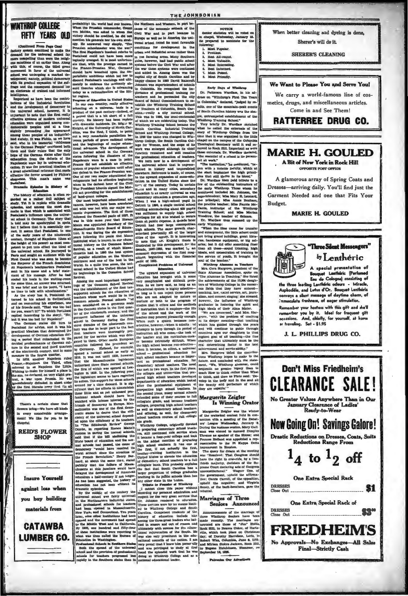## **WINTHROP COLLEGE FIFTY YEARS OLD**

Trom Page One)<br>combined to make the<br>school farmer and school farmer factory system communed to make the defined in the universal achool far<br>more compelling than were the religious sanctions of an entire time. Along<br>with this, of course, the third great<br>movement in favor of the universal universa<br>rited deol was undergo  $x \cdot x$ namely, political democracy<br>adual expansion of the aut-<br>the consequent demand for<br>the of trained and informed at; namely, political de th its gr re and the co

ntant as have been the contrir the industrial seronium<br>gral school, however, it is<br>to note that the first really nt to n t to note that the new really<br>systems of modern universal<br>were organised among ron-<br>is peoples and at a time<br>preceeding the appearance<br>ness peoples of an industrialceratio peopos and the appearance of the proceeding these peoples of an industrial-<br>applies of an industrial-<br>who in his immerial "Addresses<br>who in his immerial "Addresses<br>of German People" convinced both<br>and their rulers and their rulers that the only the German states after their<br>stin from the defeats of the<br>conte wars lay in universal edu-<br>. It was the practical idealism of<br>t educational reformer that made  $\overline{at}$ re the fervor arouned by Fig.  $\frac{1}{100}$ 

a rest detection in triorner that makes a per adetail in the Praco-Pracotical control in the state in the state in the behavior of the control in the state in the state in the state in the state in the state in the state

In 1870, another Napoleon Hed Toron ruled formed another Hernel to a Napoleon the Eittle.<br>Internet to as Napoleon the Eittle.<br>Internet to ask Napoleon the Eittle.<br>Internet to base for himself a place in the set of the sta

**Th** re's a certain ch rs bring-We have all kinds in every co ment! We like for you to be

**REID'S FLOWER SHOP** 

**Insure Yourself** against loss when you buy building materials from

**CATAWBA** 

**LUMBER CO.** 

ability) the world had ever known. the Northern and West

probability the world and error howen. When the Prince<br>of the count When the Prundish commander, Ownel by the Prundish commander, Ownel to the<br>count of the present of the present of the present of the present of<br> $\mathbb{R}^n$ 

cut theories which also is a coracting to the solution of the Hiterature region. The meaning of Elisabeth II curve over the property results of the product of the product of the product of the product of the product of th

 $\theta^8$  bet define the the Pranco-Prussian wave allows the spin and the spin and the spin and the spin and the spin and the spin and the spin and the spin and the spin and the spin and the spin and the spin and the spin an

THE JOHNSONIAN

m. in part be cause of the economic setbeak of the Cord Will War and in part technique in Structure in the Versie version of the version of the conditions for the conditions for the conditions for the conditions for the conditions and i urean and finductrial areas rather than<br>in the farming areas. Many Southern than<br>cities, however, had had public school<br>systems before the Citri War and after<br>the war these systems were continued<br>and added to. Among them w happy char  $\begin{minipage}{.4\linewidth} \textbf{happr} \textbf{ chaos} & \textbf{in} \\ \textbf{Johnson was superinheadent} \\ \textbf{in} \textbf{Columnula.} \textbf{Hs} \textbf{ recognized and tra} \\ \textbf{on} \textbf{f} \textbf{anional} \textbf{tr} \end{minipage}$ int of school d the imr connens. En reconhesi the im-1 Early Pays of Wiskless (scheme and he permatod the high pays of Wiskless of Parketina and he may be a more and he becomes the state of the symbol commissiones to ask and columbia, denote a in Columbia. He recognized the importance of professional training for<br>teachers and he persuaded the city<br>Board of School Commissioners to es-

ded on<br>anuary 15, cemior statistic<br>in chapel, Wedn<br>Be prepared to or will be voted an Ja wemness prepared to nor<br>wing:<br>Most Popular,<br>Prettiest. cllowing:<br>
1. Most Popular,<br>
2. Prettiest,<br>
2. Best All-round,<br>
4. Most Faluable.<br>
5. Most Faieresting<br>
7. Most Faiered,<br>
8. Most Faiered,<br>
8. Most Priendly.

Early Days of Win-

**NOTICE** 

Early Days of Wieldrop<br>
Dr. Patterson Wardlaw, in his address on "Winthrop's First Ten Years<br>
in Columbia," declared, "judged by re-

Garment Needed and one that Fits Your MARIE H. GOULED "Three Silent Messenvers"

When better cleaning and dyeing is done

 $O$  homeover  $m(11, 3)$  and  $M$ 

**SHEPEPS CLEANING** 

We Want to Please You and Serve You!

metics, drugs, and miscellaneous articles

Come in and See Them!

**RATTERREE DRUG CO.** 

**MARIE H. GOULED** 

A Rit of New York in Rock Hill OFFICIATION TO DRIVE OFFICERS

Budget.

A glamorous array of Spring Coats and Dresses-arriving daily. You'll find just the

We carry a world-famous line of cos-



A special presentation of<br>
A special presentation of<br>
Bouquet Learthéric (Perfumed<br>
Eau de Cologne) contaiting of<br>
Anyhodis, and Lotus Co-1. Bouquet Learthéric<br>
Anyhodis, and Lotus Co-1. Bouquet Learthéric<br>
conveys a silen

Remember your hostess with this aift and she'll smber your hostess with this gitt and sh<br>mber you by it. Ideal for frequent c<br>sions. And, chiefly, for yourself, at ho  $\frac{1}{2}$  $\sim$ or traveling. Set - \$1.95

J. L. PHILLIPS DRUG CO.

Don't Miss Friedheim's **CLEARANCE SAL** EI No Greater Values Anywhere Than in Our<br>January Clearance of Ladies'<br>Ready-to-Wear **Now Going On! Savings Galore! Drastic Reductions on Dresses, Coats, Suits<br>Reductions Range From**  $1_4$  to  $1_2$  off **One Extra Special Rack DRESSES S1** Class Out <u> De Bernard (de Bernard de Bernard)</u> One Extra Special Rack of DRESSES **SS**W Close Out **FRIEDHEIM'S** No Approvals-No Exchanges-All Sales Final-Strictly Cash